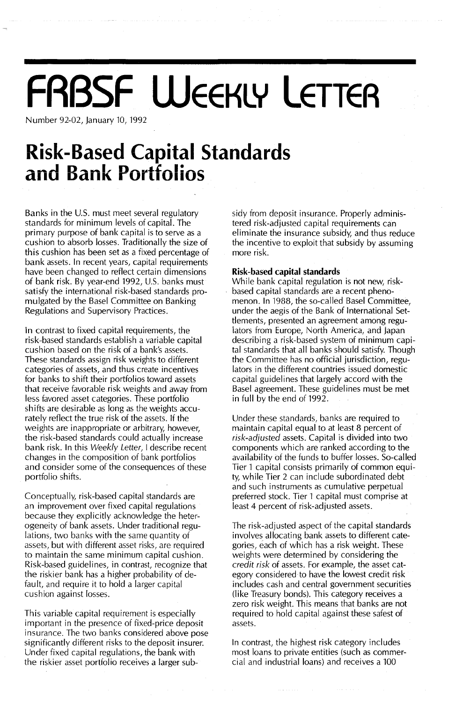# **FRBSF WEEKLY LETTER**

Number 92-02, January 10, 1992

### **Risk-Based Capital Standards and Bank Portfolios**

Banks in the U.S. must meet several regulatory standards for minimum levels of capital. The primary purpose of bank capital is to serve as a cushion to absorb losses. Traditionally the size of this cushion has been set as a fixed percentage of bank assets. In recent years, capital requirements have been changed to reflect certain dimensions of bank risk. By year-end 1992, U.s. banks must satisfy the international risk-based standards promulgated by the Basel Committee on Banking Regulations and Supervisory Practices.

in contrast to fixed capital requirements, the risk-based standards establish a variable capital cushion based on the risk of a bank's assets. These standards assign risk weights to different categories of assets, and thus create incentives for banks to shift their portfolios toward assets that receive favorable risk weights and away from less favored asset categories. These portfolio shifts are desirable as long as the weights accurately reflect the true risk of the assets. If the weights are inappropriate or arbitrary, however, tbe risk-based standards could actually increase bank risk. In this *Weekly Letter,* I describe recent changes in the composition of bank portfolios and consider some of the consequences of these portfolio shifts.

Conceptually, risk-based capital standards are an improvement over fixed capital regulations because they explicitly acknowledge the heterogeneity of bank assets. Under traditional regulations, two banks with the same quantity of assets, but with different asset risks, are required to maintain the same minimum capital cushion. Risk-based guidelines, in contrast, recognize that the riskier bank has a higher probability of default, and require it to hold a larger capital cushion against losses.

This variable capital requirement is especially important in the presence of fixed-price deposit insurance. The two banks considered above pose significantly different risks to the deposit insurer. Under fixed capital regulations, the bank with the riskier asset portfolio receives a larger subsidy from deposit insurance. Properly administered risk-adjusted capital requirements can eliminate the insurance subsidy, and thus reduce the incentive to exploit that subsidy by assuming more risk.

#### **Risk-based capital standards**

While bank capital regulation is not new, riskbased capital standards are a recent phenomenon. In 1988, the so-called Basel Committee, under the aegis of the Bank of International Settlements, presented an agreement among reguiators from Europe, North America, and japan describing a risk-based system of minimum capital standards that all banks should satisfy. Though the Committee has no official jurisdiction, regulators in the different countries issued domestic capital guidelines that largely accord with the Basel agreement. These guidelines must be met in full by the end of 1992.

Under these standards, banks are required to maintain capital equal to at least 8 percent of *risk-adjusted* assets. Capital is divided into two components which are ranked according to the availability of the funds to buffer losses. So-called Tier 1 capital consists primarily of common equity, while Tier 2 can include subordinated debt and such instruments as cumulative perpetual preferred stock. Tier 1 capital must comprise at least 4 percent of risk-adjusted assets.

The risk-adjusted aspect of the capital standards involves allocating bank assets to different categories, each of which has a risk weight. These weights were determined by considering the *credit risk* of assets. For example, the asset category considered to have the lowest credit risk includes cash and central government securities (like Treasury bonds). This category receives a zero risk weight. This means that banks are not required to hold capital against these safest of assets.

In contrast, the highest risk category includes most loans to private entities (such as commercial and industrial loans) and receives a 100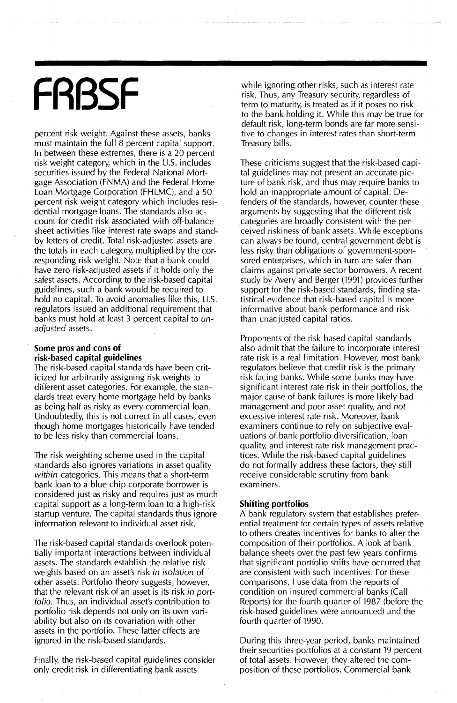# **FRBSF**

percent risk weight. Against these assets, banks must maintain the full 8 percent capital support. In between these extremes, there is a 20 percent risk weight category, which in the U.S. includes<br>securities issued by the Federal National Mortgage Association (FNMA) and the Federal Home Loan Mortgage Corporation (FHLMC), and a 50 percent risk weight category which includes residential mortgage loans. The standards also account for credit risk associated with off-balance sheet activities like interest rate swaps and standby letters of credit. Total risk-adjusted assets are the totals in each category, multiplied by the corresponding risk weight. Note that a bank could have zero risk-adjusted assets if it holds only the safest assets. According to the risk-based capital guidelines, such a bank would be required to hold no capital. To avoid anomalies like this, U.S. regulators issued an additional requirement that banks must hold at least 3 percent capital to *unadjusted* assets.

#### Some pros and cons of risk-based capital guidelines

The risk-based capital standards have been criticized for arbitrarily assigning risk weights to different asset categories. For example, the standards treat every home mortgage held by banks as being half as risky as every commercial loan. Undoubtedly, this is not correct in all cases, even though home mortgages historically have tended to be less risky than commercial loans.

The risk weighting scheme used in the capital standards also ignores variations in asset quality *within* categories. This means that a short-term bank loan to a blue chip corporate borrower is considered just as risky and requires just as much capital support as a long-term loan to a high-risk startup venture. The capital standards thus ignore information relevant to individual asset risk.

The risk-based capital standards overlook potentially important interactions between individual assets. The standards establish the relative risk weights based on an asset's risk *in isolation* of other assets. Portfolio theory suggests, however, that the relevant risk of an asset is its risk *in portfolio.* Thus, an individual asset's contribution to portfolio risk depends not only on its own variability but also on its covariation with other assets in the portfolio. These latter effects are ignored in the risk-based standards.

Finally, the risk-based capital guidelines consider only credit risk in differentiating bank assets

while ignoring other risks, such as interest rate risk. Thus, any Treasury security, regardless of term to maturity, is treated as if it poses no risk to the bank holding it. While this may be true for default risk, long-term bonds are far more sensitive to changes in interest rates than short-term Treasury bills.

These criticisms suggest that the risk-based capital guidelines may not present an accurate picture of bank risk, and thus may require banks to hold an inappropriate amount of capital. Defenders of the standards, however, counter these arguments by suggesting that the different risk categories are broadly consistent with the perceived riskiness of bank assets. While exceptions can always be found, central government debt is less risky than obligations of government-sponsored enterprises, which in turn are safer than claims against private sector borrowers. A recent study by Avery and Berger (1991) provides further support for the risk-based standards, finding statistical evidence that risk-based capital is more informative about bank performance and risk than unadjusted capital ratios.

Proponents of the risk-based capital standards also admit that the failure to incorporate interest rate risk is a real limitation. However, most bank regulators believe that credit risk is the primary risk facing banks. While some banks may have significant interest rate risk in their portfolios, the major cause of bank failures is more likely bad management and poor asset quality, and *not* excessive interest rate risk. Moreover, bank examiners continue to rely on subjective evaluations of bank portfolio diversification, loan quality, and interest rate risk management practices. While the risk-based capital guidelines do not formally address these factors, they still receive considerable scrutiny from bank examiners.

#### Shifting portfolios

A bank regulatory system that establishes preferential treatment for certain types of assets relative to others creates incentives for banks to alter the composition of their portfolios. A look at bank balance sheets over the past few years confirms that significant portfolio shifts have occurred that are consistent with such incentives. For these comparisons, I use data from the reports of condition on insured commercial banks (Call Reports) for the fourth quarter of 1987 (before the risk-based guidelines were announced) and the fourth quarter of 1990.

During this three-year period, banks maintained their securities portfolios at a constant 19 percent of total assets. However, they altered the composition of these portfolios. Commercial bank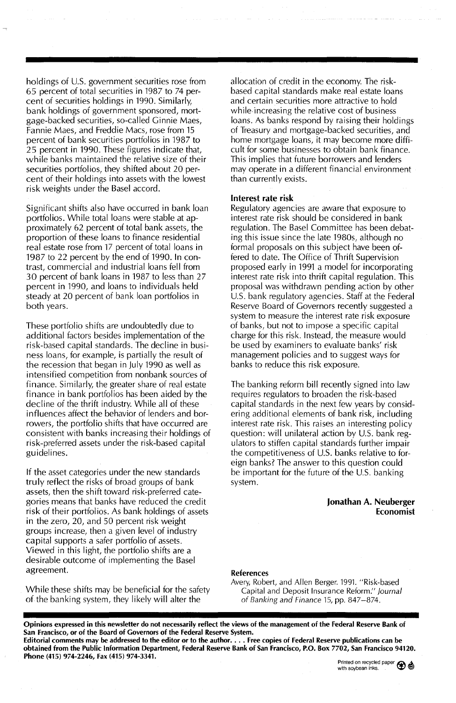holdings of U.S. government securities rose from 65 percent of total securities in 1987 to 74 percent of securities holdings in 1990. Similarly, bank holdings of government sponsored, mortgage-backed securities, so-called Ginnie Maes, Fannie Maes, and Freddie Macs, rose from 15 percent of bank securities portfolios in 1987 to 25 percent in 1990. These figures indicate that, while banks maintained the relative size of their securities portfolios, thev shifted about 20 percent of their holdings into assets with the lowest risk weights under the Basel accord.

Significant shifts also have occurred in bank loan portfolios. While total loans were stable at approximately 62 percent of total bank assets, the proportion of these loans to finance residential real estate rose from 17 percent of total loans in 1987 to 22 percent by the end of 1990. In contrast, commercial and industrial loans fell from 30 percent of bank loans in 1987 to less than 27 percent in 1990, and loans to individuals held steady at 20 percent of bank loan portfolios in both years.

These portfolio shifts are undoubtedly due to additional factors besides implementation of the risk-based capital standards. The decline in business loans, for example, is partially the result of the recession that began in July 1990 as well as intensified competition from nonbank sources of finance. Similarly, the greater share of real estate finance in bank portfolios has been aided by the decline of the thrift industry. While all of these influences affect the behavior of lenders and borrowers, the portfolio shifts that have occurred are consistent with banks increasing their holdings of risk-preferred assets under the risk-based capital guidelines.

If the asset categories under the new standards truly reflect the risks of broad groups of bank assets, then the shift toward risk-preferred categories means that banks have reduced the credit risk of their portfolios. As bank holdings of assets in the zero, 20, and 50 percent risk weight groups increase, then a given level of industry capital supports a safer portfolio of assets. Viewed in this light, the portfolio shifts are a desirable outcome of implementing the Basel agreement.

While these shifts may be beneficial for the safety of the banking system, they likely will alter the

allocation of credit in the economy. The riskbased capital standards make real estate loans and certain securities more attractive to hold while increasing the relative cost of business loans. As banks respond by raising their holdings of Treasury and mortgage-backed securities, and home mortgage loans, it may become more difficult for some businesses to obtain bank finance. This implies that future borrowers and lenders may operate in a different financial environment than currently exists.

#### Interest rate risk

Regulatory agencies are aware that exposure to interest rate risk should be considered in bank regulation. The Basel Committee has been debating this issue since the late 1980s, although no formal proposals on this subject have been offered to date. The Office of Thrift Supervision proposed early in 1991 a model for incorporating interest rate risk into thrift capital regulation. This proposal was withdrawn pending action by other U.S. bank regulatory agencies. Staff at the Federal Reserve Board of Governors recently suggested a system to measure the interest rate risk exposure of banks, but not to impose a specific capital charge for this risk. Instead, the measure would be used by examiners to evaluate banks' risk management policies and to suggest ways for banks to reduce this risk exposure.

The banking reform bill recently signed into law requires regulators to broaden the risk-based capital standards in the next few years by considering additional elements of bank risk, including interest rate risk. This raises an interesting policy question: will unilateral action by U.S. bank regulators to stiffen capital standards further impair the competitiveness of U.S. banks relative to foreign banks? The answer to this question could be important for the future of the U.S. banking system.

#### Jonathan A. Neuberger Economist

#### References

Avery, Robert, and Allen Berger. 1991. "Risk-based Capital and Deposit Insurance Reform." Journal of Banking and Finance 15, pp. 847-874.

Opinions expressed in this newsletter do not necessarily reflect the views of the management of the Federal Reserve Bank of San Francisco, or of the Board of Governors of the Federal Reserve System. Editorial comments may be addressed to the editor or to the author.... Free copies of Federal Reserve publications can be

obtained from the Public Information Department, Federal Reserve Bank of San Francisco, P.O. Box 7702, San Francisco 94120. Phone (415) 974-2246, Fax (415) 974-3341.